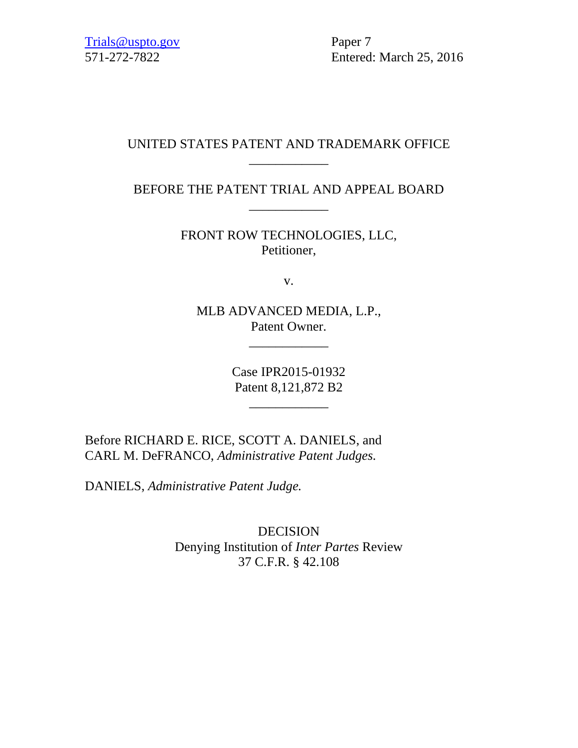[Trials@uspto.gov](mailto:Trials@uspto.gov) Paper 7

571-272-7822 Entered: March 25, 2016

# UNITED STATES PATENT AND TRADEMARK OFFICE \_\_\_\_\_\_\_\_\_\_\_\_

BEFORE THE PATENT TRIAL AND APPEAL BOARD \_\_\_\_\_\_\_\_\_\_\_\_

> FRONT ROW TECHNOLOGIES, LLC, Petitioner,

> > v.

MLB ADVANCED MEDIA, L.P., Patent Owner.

\_\_\_\_\_\_\_\_\_\_\_\_

Case IPR2015-01932 Patent 8,121,872 B2

\_\_\_\_\_\_\_\_\_\_\_\_

Before RICHARD E. RICE, SCOTT A. DANIELS, and CARL M. DeFRANCO, *Administrative Patent Judges.*

DANIELS, *Administrative Patent Judge.*

DECISION Denying Institution of *Inter Partes* Review 37 C.F.R. § 42.108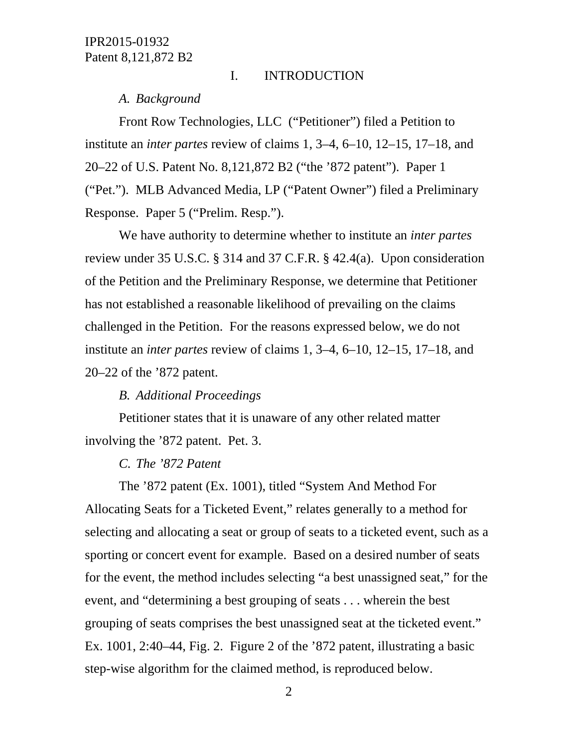#### I. INTRODUCTION

#### *A. Background*

Front Row Technologies, LLC ("Petitioner") filed a Petition to institute an *inter partes* review of claims 1, 3–4, 6–10, 12–15, 17–18, and 20–22 of U.S. Patent No. 8,121,872 B2 ("the '872 patent"). Paper 1 ("Pet."). MLB Advanced Media, LP ("Patent Owner") filed a Preliminary Response. Paper 5 ("Prelim. Resp.").

We have authority to determine whether to institute an *inter partes* review under 35 U.S.C. § 314 and 37 C.F.R. § 42.4(a). Upon consideration of the Petition and the Preliminary Response, we determine that Petitioner has not established a reasonable likelihood of prevailing on the claims challenged in the Petition. For the reasons expressed below, we do not institute an *inter partes* review of claims 1, 3–4, 6–10, 12–15, 17–18, and 20–22 of the '872 patent.

## *B. Additional Proceedings*

Petitioner states that it is unaware of any other related matter involving the '872 patent. Pet. 3.

## *C. The '872 Patent*

The '872 patent (Ex. 1001), titled "System And Method For Allocating Seats for a Ticketed Event," relates generally to a method for selecting and allocating a seat or group of seats to a ticketed event, such as a sporting or concert event for example. Based on a desired number of seats for the event, the method includes selecting "a best unassigned seat," for the event, and "determining a best grouping of seats . . . wherein the best grouping of seats comprises the best unassigned seat at the ticketed event." Ex. 1001, 2:40–44, Fig. 2. Figure 2 of the '872 patent, illustrating a basic step-wise algorithm for the claimed method, is reproduced below.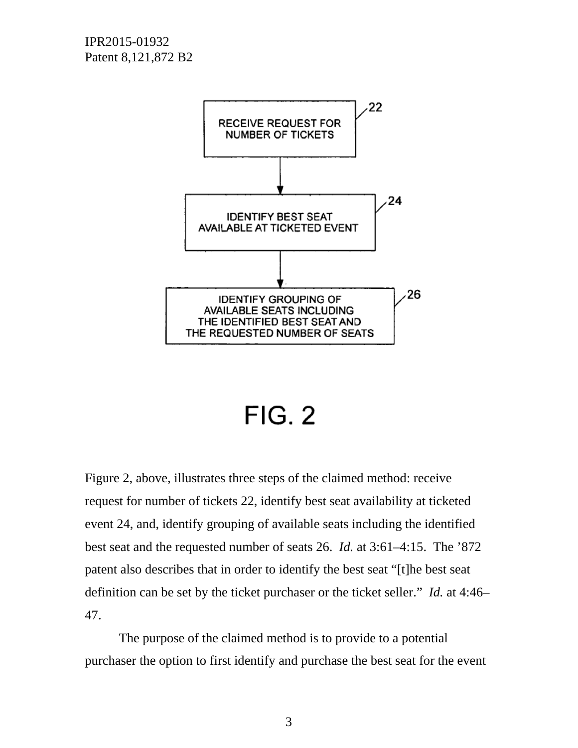

# $FIG. 2$

Figure 2, above, illustrates three steps of the claimed method: receive request for number of tickets 22, identify best seat availability at ticketed event 24, and, identify grouping of available seats including the identified best seat and the requested number of seats 26. *Id.* at 3:61–4:15. The '872 patent also describes that in order to identify the best seat "[t]he best seat definition can be set by the ticket purchaser or the ticket seller." *Id.* at 4:46– 47.

The purpose of the claimed method is to provide to a potential purchaser the option to first identify and purchase the best seat for the event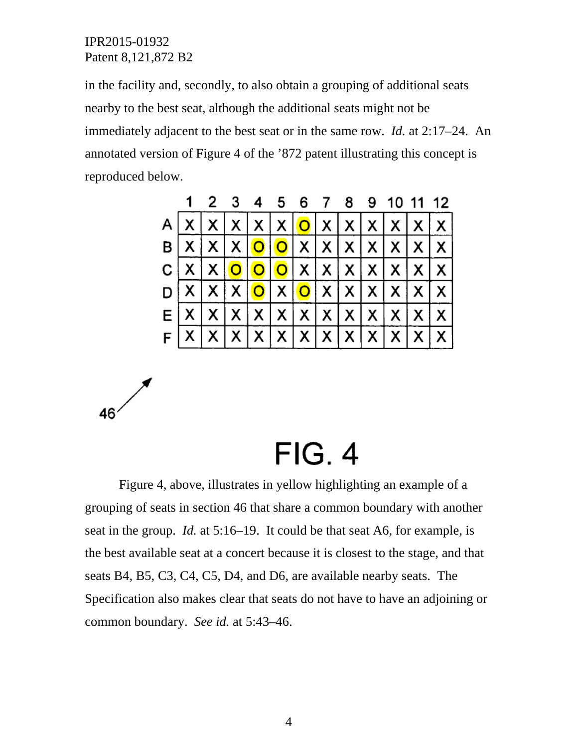$46'$ 

in the facility and, secondly, to also obtain a grouping of additional seats nearby to the best seat, although the additional seats might not be immediately adjacent to the best seat or in the same row. *Id.* at 2:17–24. An annotated version of Figure 4 of the '872 patent illustrating this concept is reproduced below.

|  |  |  |  |  | 1 2 3 4 5 6 7 8 9 10 11 12                                                                                                                       |  |
|--|--|--|--|--|--------------------------------------------------------------------------------------------------------------------------------------------------|--|
|  |  |  |  |  | $A \mid x \mid x \mid x \mid x \mid o \mid x \mid x \mid x \mid x \mid x$                                                                        |  |
|  |  |  |  |  | B X X X Q Q X X X X X X X                                                                                                                        |  |
|  |  |  |  |  |                                                                                                                                                  |  |
|  |  |  |  |  | $\mathsf{D} \mathsf{X} \mathsf{X} \mathsf{X} \mathsf{O} \mathsf{X} \mathsf{O} \mathsf{X} \mathsf{X} \mathsf{X} \mathsf{X} \mathsf{X} \mathsf{X}$ |  |
|  |  |  |  |  | E[X X X X X X X X X X X X                                                                                                                        |  |
|  |  |  |  |  | $F[X X X X X X X X X X X X $                                                                                                                     |  |

 $FIG. 4$ 

Figure 4, above, illustrates in yellow highlighting an example of a grouping of seats in section 46 that share a common boundary with another seat in the group. *Id.* at 5:16–19. It could be that seat A6, for example, is the best available seat at a concert because it is closest to the stage, and that seats B4, B5, C3, C4, C5, D4, and D6, are available nearby seats. The Specification also makes clear that seats do not have to have an adjoining or common boundary. *See id.* at 5:43–46.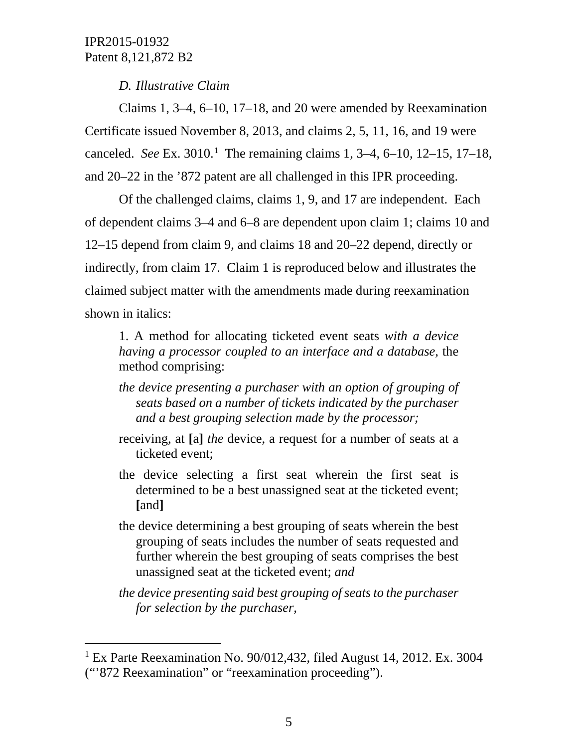*D. Illustrative Claim*

Claims 1, 3–4, 6–10, 17–18, and 20 were amended by Reexamination Certificate issued November 8, 2013, and claims 2, 5, 11, 16, and 19 were canceled. *See* Ex. 30[1](#page-4-0)0.<sup>1</sup> The remaining claims 1, 3–4, 6–10, 12–15, 17–18, and 20–22 in the '872 patent are all challenged in this IPR proceeding.

Of the challenged claims, claims 1, 9, and 17 are independent. Each of dependent claims 3–4 and 6–8 are dependent upon claim 1; claims 10 and 12–15 depend from claim 9, and claims 18 and 20–22 depend, directly or indirectly, from claim 17. Claim 1 is reproduced below and illustrates the claimed subject matter with the amendments made during reexamination shown in italics:

1. A method for allocating ticketed event seats *with a device having a processor coupled to an interface and a database,* the method comprising:

*the device presenting a purchaser with an option of grouping of seats based on a number of tickets indicated by the purchaser and a best grouping selection made by the processor;*

- receiving, at **[**a**]** *the* device, a request for a number of seats at a ticketed event;
- the device selecting a first seat wherein the first seat is determined to be a best unassigned seat at the ticketed event; **[**and**]**
- the device determining a best grouping of seats wherein the best grouping of seats includes the number of seats requested and further wherein the best grouping of seats comprises the best unassigned seat at the ticketed event; *and*

*the device presenting said best grouping of seats to the purchaser for selection by the purchaser,*

<span id="page-4-0"></span> <sup>1</sup> Ex Parte Reexamination No. 90/012,432, filed August 14, 2012. Ex. 3004 ("'872 Reexamination" or "reexamination proceeding").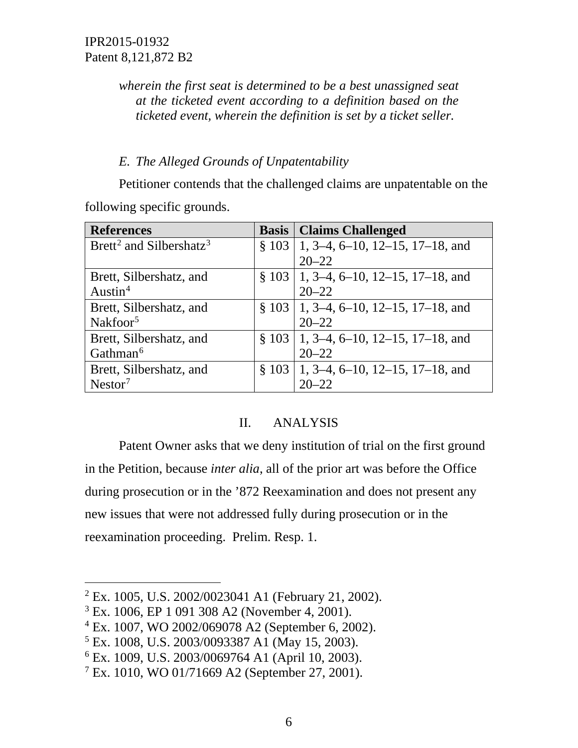*wherein the first seat is determined to be a best unassigned seat at the ticketed event according to a definition based on the ticketed event, wherein the definition is set by a ticket seller.*

# *E. The Alleged Grounds of Unpatentability*

Petitioner contends that the challenged claims are unpatentable on the following specific grounds.

| <b>References</b>                               | <b>Basis   Claims Challenged</b>              |
|-------------------------------------------------|-----------------------------------------------|
| Brett <sup>2</sup> and Silbershatz <sup>3</sup> | $\S$ 103   1, 3–4, 6–10, 12–15, 17–18, and    |
|                                                 | $20 - 22$                                     |
| Brett, Silbershatz, and                         | $\S 103 \mid 1, 3-4, 6-10, 12-15, 17-18,$ and |
| Austin <sup>4</sup>                             | $20 - 22$                                     |
| Brett, Silbershatz, and                         | $\S 103 \mid 1, 3-4, 6-10, 12-15, 17-18,$ and |
| Nakfoor <sup>5</sup>                            | $20 - 22$                                     |
| Brett, Silbershatz, and                         | $\S 103 \mid 1, 3-4, 6-10, 12-15, 17-18,$ and |
| Gathman <sup>6</sup>                            | $20 - 22$                                     |
| Brett, Silbershatz, and                         | $\S 103$   1, 3–4, 6–10, 12–15, 17–18, and    |
| Nestor <sup>7</sup>                             | $20 - 22$                                     |

# II. ANALYSIS

Patent Owner asks that we deny institution of trial on the first ground in the Petition, because *inter alia*, all of the prior art was before the Office during prosecution or in the '872 Reexamination and does not present any new issues that were not addressed fully during prosecution or in the reexamination proceeding. Prelim. Resp. 1.

<span id="page-5-0"></span> <sup>2</sup> Ex. 1005, U.S. 2002/0023041 A1 (February 21, 2002).

<span id="page-5-1"></span><sup>3</sup> Ex. 1006, EP 1 091 308 A2 (November 4, 2001).

<span id="page-5-2"></span><sup>4</sup> Ex. 1007, WO 2002/069078 A2 (September 6, 2002).

<span id="page-5-3"></span><sup>5</sup> Ex. 1008, U.S. 2003/0093387 A1 (May 15, 2003).

<span id="page-5-4"></span><sup>6</sup> Ex. 1009, U.S. 2003/0069764 A1 (April 10, 2003).

<span id="page-5-5"></span> $7$  Ex. 1010, WO 01/71669 A2 (September 27, 2001).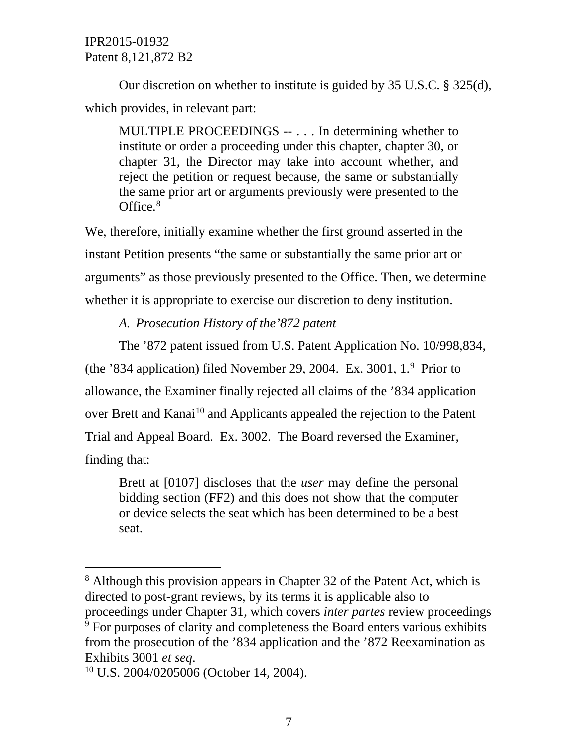Our discretion on whether to institute is guided by 35 U.S.C. § 325(d), which provides, in relevant part:

MULTIPLE PROCEEDINGS -- . . . In determining whether to institute or order a proceeding under this chapter, chapter 30, or chapter 31, the Director may take into account whether, and reject the petition or request because, the same or substantially the same prior art or arguments previously were presented to the Office.<sup>[8](#page-6-0)</sup>

We, therefore, initially examine whether the first ground asserted in the instant Petition presents "the same or substantially the same prior art or arguments" as those previously presented to the Office. Then, we determine whether it is appropriate to exercise our discretion to deny institution.

# *A. Prosecution History of the'872 patent*

The '872 patent issued from U.S. Patent Application No. 10/998,834, (the '834 application) filed November 2[9](#page-6-1), 2004. Ex. 3001,  $1.^9$  Prior to allowance, the Examiner finally rejected all claims of the '834 application over Brett and Kanai<sup>[10](#page-6-2)</sup> and Applicants appealed the rejection to the Patent Trial and Appeal Board. Ex. 3002. The Board reversed the Examiner, finding that:

Brett at [0107] discloses that the *user* may define the personal bidding section (FF2) and this does not show that the computer or device selects the seat which has been determined to be a best seat.

<span id="page-6-1"></span><span id="page-6-0"></span><sup>&</sup>lt;sup>8</sup> Although this provision appears in Chapter 32 of the Patent Act, which is directed to post-grant reviews, by its terms it is applicable also to proceedings under Chapter 31, which covers *inter partes* review proceedings <sup>9</sup> For purposes of clarity and completeness the Board enters various exhibits from the prosecution of the '834 application and the '872 Reexamination as Exhibits 3001 *et seq*.

<span id="page-6-2"></span><sup>10</sup> U.S. 2004/0205006 (October 14, 2004).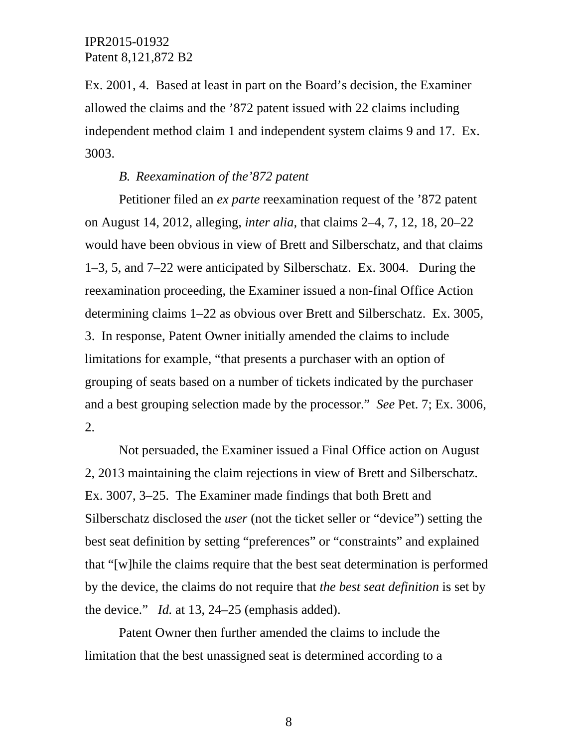Ex. 2001, 4. Based at least in part on the Board's decision, the Examiner allowed the claims and the '872 patent issued with 22 claims including independent method claim 1 and independent system claims 9 and 17. Ex. 3003.

## *B. Reexamination of the'872 patent*

Petitioner filed an *ex parte* reexamination request of the '872 patent on August 14, 2012, alleging, *inter alia,* that claims 2–4, 7, 12, 18, 20–22 would have been obvious in view of Brett and Silberschatz, and that claims 1–3, 5, and 7–22 were anticipated by Silberschatz. Ex. 3004. During the reexamination proceeding, the Examiner issued a non-final Office Action determining claims 1–22 as obvious over Brett and Silberschatz. Ex. 3005, 3. In response, Patent Owner initially amended the claims to include limitations for example, "that presents a purchaser with an option of grouping of seats based on a number of tickets indicated by the purchaser and a best grouping selection made by the processor." *See* Pet. 7; Ex. 3006, 2.

Not persuaded, the Examiner issued a Final Office action on August 2, 2013 maintaining the claim rejections in view of Brett and Silberschatz. Ex. 3007, 3–25. The Examiner made findings that both Brett and Silberschatz disclosed the *user* (not the ticket seller or "device") setting the best seat definition by setting "preferences" or "constraints" and explained that "[w]hile the claims require that the best seat determination is performed by the device, the claims do not require that *the best seat definition* is set by the device." *Id.* at 13, 24–25 (emphasis added).

Patent Owner then further amended the claims to include the limitation that the best unassigned seat is determined according to a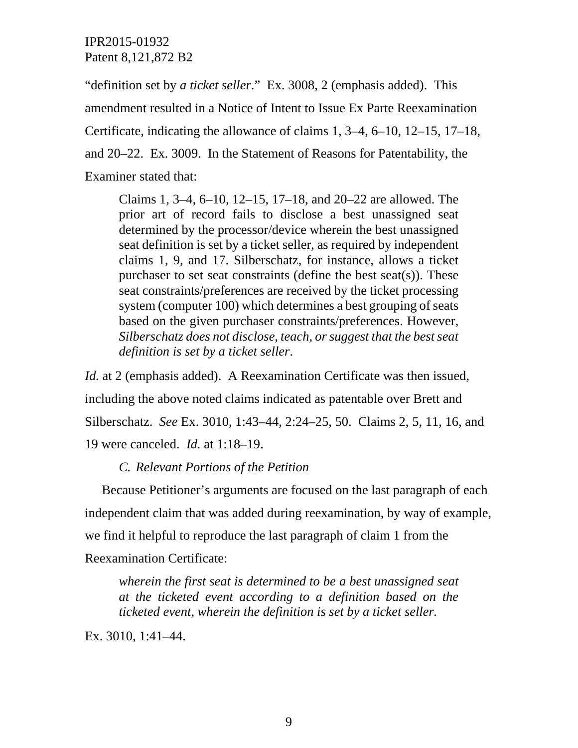"definition set by *a ticket seller*." Ex. 3008, 2 (emphasis added). This amendment resulted in a Notice of Intent to Issue Ex Parte Reexamination Certificate, indicating the allowance of claims 1, 3–4, 6–10, 12–15, 17–18, and 20–22. Ex. 3009. In the Statement of Reasons for Patentability, the Examiner stated that:

Claims 1, 3–4, 6–10, 12–15, 17–18, and 20–22 are allowed. The prior art of record fails to disclose a best unassigned seat determined by the processor/device wherein the best unassigned seat definition is set by a ticket seller, as required by independent claims 1, 9, and 17. Silberschatz, for instance, allows a ticket purchaser to set seat constraints (define the best seat(s)). These seat constraints/preferences are received by the ticket processing system (computer 100) which determines a best grouping of seats based on the given purchaser constraints/preferences. However, *Silberschatz does not disclose, teach, or suggest that the best seat definition is set by a ticket seller*.

*Id.* at 2 (emphasis added). A Reexamination Certificate was then issued, including the above noted claims indicated as patentable over Brett and Silberschatz. *See* Ex. 3010, 1:43–44, 2:24–25, 50. Claims 2, 5, 11, 16, and 19 were canceled. *Id.* at 1:18–19.

## *C. Relevant Portions of the Petition*

Because Petitioner's arguments are focused on the last paragraph of each independent claim that was added during reexamination, by way of example, we find it helpful to reproduce the last paragraph of claim 1 from the Reexamination Certificate:

*wherein the first seat is determined to be a best unassigned seat at the ticketed event according to a definition based on the ticketed event, wherein the definition is set by a ticket seller.*

Ex. 3010, 1:41–44.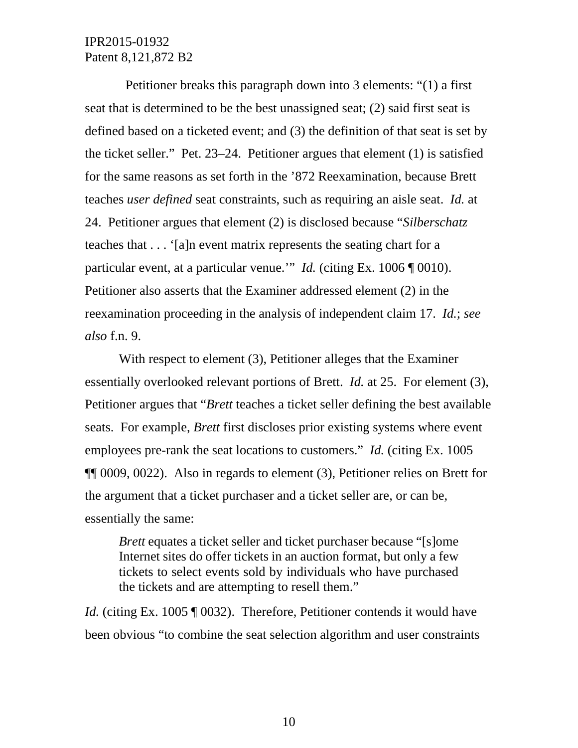Petitioner breaks this paragraph down into 3 elements: "(1) a first seat that is determined to be the best unassigned seat; (2) said first seat is defined based on a ticketed event; and (3) the definition of that seat is set by the ticket seller." Pet. 23–24. Petitioner argues that element (1) is satisfied for the same reasons as set forth in the '872 Reexamination, because Brett teaches *user defined* seat constraints, such as requiring an aisle seat. *Id.* at 24. Petitioner argues that element (2) is disclosed because "*Silberschatz* teaches that . . . '[a]n event matrix represents the seating chart for a particular event, at a particular venue.'" *Id.* (citing Ex. 1006 ¶ 0010). Petitioner also asserts that the Examiner addressed element (2) in the reexamination proceeding in the analysis of independent claim 17. *Id.*; *see also* f.n. 9.

With respect to element (3), Petitioner alleges that the Examiner essentially overlooked relevant portions of Brett. *Id.* at 25. For element (3), Petitioner argues that "*Brett* teaches a ticket seller defining the best available seats. For example, *Brett* first discloses prior existing systems where event employees pre-rank the seat locations to customers." *Id.* (citing Ex. 1005 ¶¶ 0009, 0022). Also in regards to element (3), Petitioner relies on Brett for the argument that a ticket purchaser and a ticket seller are, or can be, essentially the same:

*Brett* equates a ticket seller and ticket purchaser because "[s]ome Internet sites do offer tickets in an auction format, but only a few tickets to select events sold by individuals who have purchased the tickets and are attempting to resell them."

*Id.* (citing Ex. 1005 ¶ 0032). Therefore, Petitioner contends it would have been obvious "to combine the seat selection algorithm and user constraints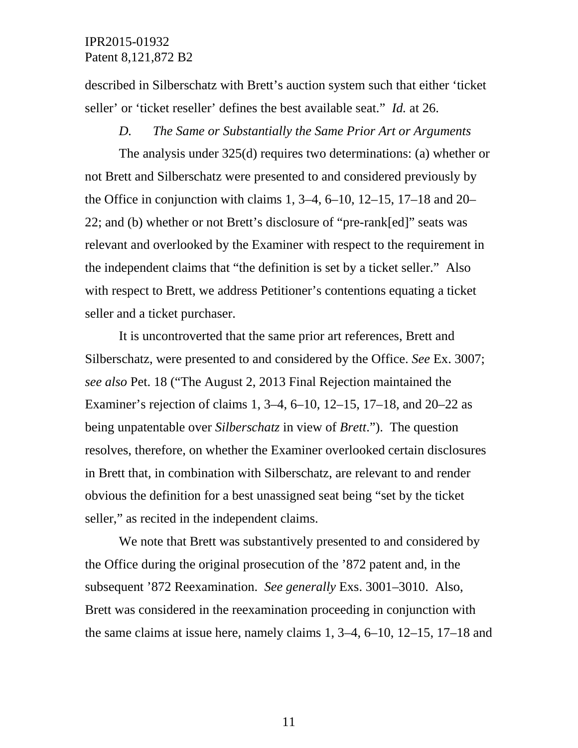described in Silberschatz with Brett's auction system such that either 'ticket seller' or 'ticket reseller' defines the best available seat." *Id.* at 26.

#### *D. The Same or Substantially the Same Prior Art or Arguments*

The analysis under 325(d) requires two determinations: (a) whether or not Brett and Silberschatz were presented to and considered previously by the Office in conjunction with claims 1,  $3-4$ ,  $6-10$ ,  $12-15$ ,  $17-18$  and  $20-$ 22; and (b) whether or not Brett's disclosure of "pre-rank[ed]" seats was relevant and overlooked by the Examiner with respect to the requirement in the independent claims that "the definition is set by a ticket seller." Also with respect to Brett, we address Petitioner's contentions equating a ticket seller and a ticket purchaser.

It is uncontroverted that the same prior art references, Brett and Silberschatz, were presented to and considered by the Office. *See* Ex. 3007; *see also* Pet. 18 ("The August 2, 2013 Final Rejection maintained the Examiner's rejection of claims 1, 3–4, 6–10, 12–15, 17–18, and 20–22 as being unpatentable over *Silberschatz* in view of *Brett*."). The question resolves, therefore, on whether the Examiner overlooked certain disclosures in Brett that, in combination with Silberschatz, are relevant to and render obvious the definition for a best unassigned seat being "set by the ticket seller," as recited in the independent claims.

We note that Brett was substantively presented to and considered by the Office during the original prosecution of the '872 patent and, in the subsequent '872 Reexamination. *See generally* Exs. 3001–3010. Also, Brett was considered in the reexamination proceeding in conjunction with the same claims at issue here, namely claims 1, 3–4, 6–10, 12–15, 17–18 and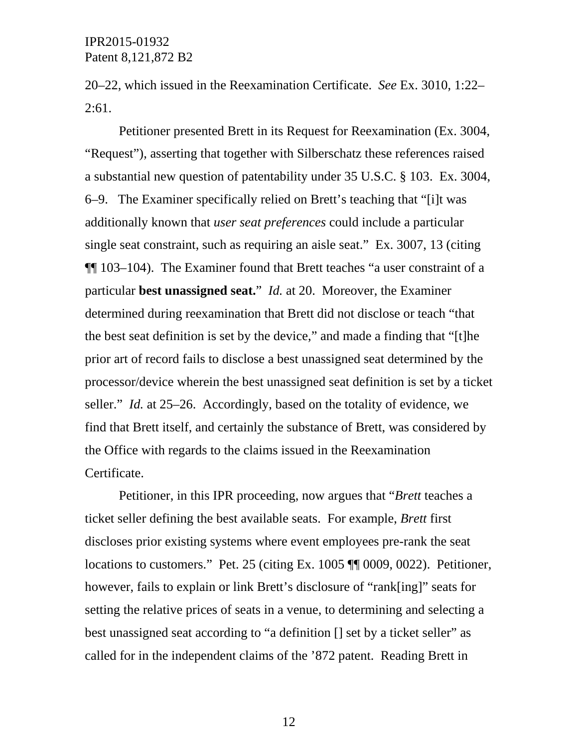20–22, which issued in the Reexamination Certificate. *See* Ex. 3010, 1:22– 2:61.

Petitioner presented Brett in its Request for Reexamination (Ex. 3004, "Request"), asserting that together with Silberschatz these references raised a substantial new question of patentability under 35 U.S.C. § 103. Ex. 3004, 6–9. The Examiner specifically relied on Brett's teaching that "[i]t was additionally known that *user seat preferences* could include a particular single seat constraint, such as requiring an aisle seat." Ex. 3007, 13 (citing ¶¶ 103–104). The Examiner found that Brett teaches "a user constraint of a particular **best unassigned seat.**" *Id.* at 20. Moreover, the Examiner determined during reexamination that Brett did not disclose or teach "that the best seat definition is set by the device," and made a finding that "[t]he prior art of record fails to disclose a best unassigned seat determined by the processor/device wherein the best unassigned seat definition is set by a ticket seller." *Id.* at 25–26. Accordingly, based on the totality of evidence, we find that Brett itself, and certainly the substance of Brett, was considered by the Office with regards to the claims issued in the Reexamination Certificate.

Petitioner, in this IPR proceeding, now argues that "*Brett* teaches a ticket seller defining the best available seats. For example, *Brett* first discloses prior existing systems where event employees pre-rank the seat locations to customers." Pet. 25 (citing Ex. 1005 ¶¶ 0009, 0022). Petitioner, however, fails to explain or link Brett's disclosure of "rank[ing]" seats for setting the relative prices of seats in a venue, to determining and selecting a best unassigned seat according to "a definition [] set by a ticket seller" as called for in the independent claims of the '872 patent. Reading Brett in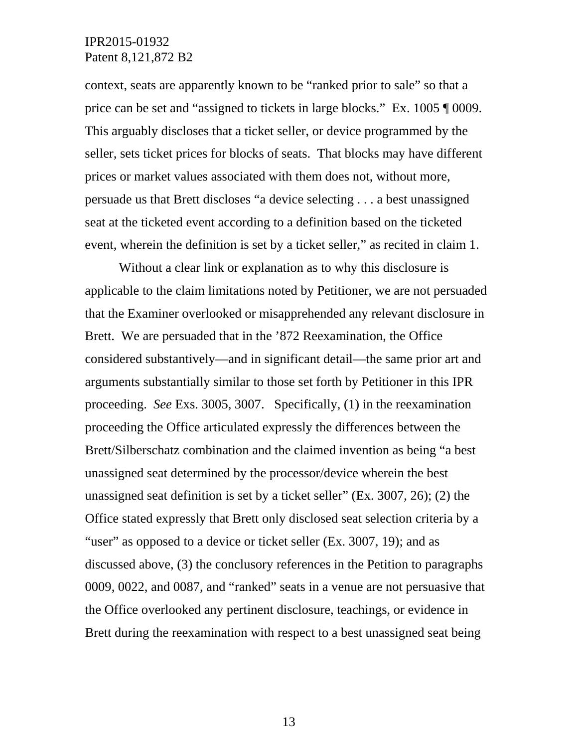context, seats are apparently known to be "ranked prior to sale" so that a price can be set and "assigned to tickets in large blocks." Ex. 1005 ¶ 0009. This arguably discloses that a ticket seller, or device programmed by the seller, sets ticket prices for blocks of seats. That blocks may have different prices or market values associated with them does not, without more, persuade us that Brett discloses "a device selecting . . . a best unassigned seat at the ticketed event according to a definition based on the ticketed event, wherein the definition is set by a ticket seller," as recited in claim 1.

Without a clear link or explanation as to why this disclosure is applicable to the claim limitations noted by Petitioner, we are not persuaded that the Examiner overlooked or misapprehended any relevant disclosure in Brett. We are persuaded that in the '872 Reexamination, the Office considered substantively—and in significant detail—the same prior art and arguments substantially similar to those set forth by Petitioner in this IPR proceeding. *See* Exs. 3005, 3007. Specifically, (1) in the reexamination proceeding the Office articulated expressly the differences between the Brett/Silberschatz combination and the claimed invention as being "a best unassigned seat determined by the processor/device wherein the best unassigned seat definition is set by a ticket seller" (Ex. 3007, 26); (2) the Office stated expressly that Brett only disclosed seat selection criteria by a "user" as opposed to a device or ticket seller (Ex. 3007, 19); and as discussed above, (3) the conclusory references in the Petition to paragraphs 0009, 0022, and 0087, and "ranked" seats in a venue are not persuasive that the Office overlooked any pertinent disclosure, teachings, or evidence in Brett during the reexamination with respect to a best unassigned seat being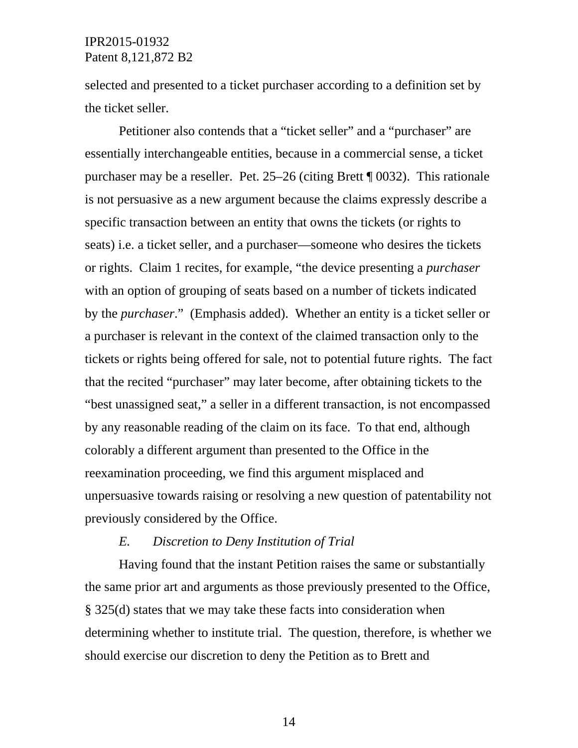selected and presented to a ticket purchaser according to a definition set by the ticket seller.

Petitioner also contends that a "ticket seller" and a "purchaser" are essentially interchangeable entities, because in a commercial sense, a ticket purchaser may be a reseller. Pet. 25–26 (citing Brett ¶ 0032). This rationale is not persuasive as a new argument because the claims expressly describe a specific transaction between an entity that owns the tickets (or rights to seats) i.e. a ticket seller, and a purchaser—someone who desires the tickets or rights. Claim 1 recites, for example, "the device presenting a *purchaser* with an option of grouping of seats based on a number of tickets indicated by the *purchaser*." (Emphasis added). Whether an entity is a ticket seller or a purchaser is relevant in the context of the claimed transaction only to the tickets or rights being offered for sale, not to potential future rights. The fact that the recited "purchaser" may later become, after obtaining tickets to the "best unassigned seat," a seller in a different transaction, is not encompassed by any reasonable reading of the claim on its face. To that end, although colorably a different argument than presented to the Office in the reexamination proceeding, we find this argument misplaced and unpersuasive towards raising or resolving a new question of patentability not previously considered by the Office.

## *E. Discretion to Deny Institution of Trial*

Having found that the instant Petition raises the same or substantially the same prior art and arguments as those previously presented to the Office, § 325(d) states that we may take these facts into consideration when determining whether to institute trial. The question, therefore, is whether we should exercise our discretion to deny the Petition as to Brett and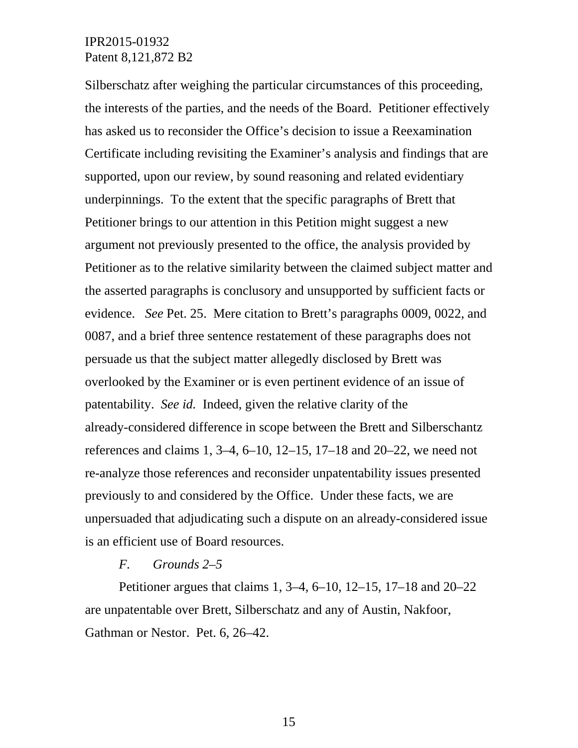Silberschatz after weighing the particular circumstances of this proceeding, the interests of the parties, and the needs of the Board. Petitioner effectively has asked us to reconsider the Office's decision to issue a Reexamination Certificate including revisiting the Examiner's analysis and findings that are supported, upon our review, by sound reasoning and related evidentiary underpinnings. To the extent that the specific paragraphs of Brett that Petitioner brings to our attention in this Petition might suggest a new argument not previously presented to the office, the analysis provided by Petitioner as to the relative similarity between the claimed subject matter and the asserted paragraphs is conclusory and unsupported by sufficient facts or evidence. *See* Pet. 25. Mere citation to Brett's paragraphs 0009, 0022, and 0087, and a brief three sentence restatement of these paragraphs does not persuade us that the subject matter allegedly disclosed by Brett was overlooked by the Examiner or is even pertinent evidence of an issue of patentability. *See id.* Indeed, given the relative clarity of the already-considered difference in scope between the Brett and Silberschantz references and claims 1, 3–4, 6–10, 12–15, 17–18 and 20–22, we need not re-analyze those references and reconsider unpatentability issues presented previously to and considered by the Office. Under these facts, we are unpersuaded that adjudicating such a dispute on an already-considered issue is an efficient use of Board resources.

#### *F. Grounds 2–5*

Petitioner argues that claims 1, 3–4, 6–10, 12–15, 17–18 and 20–22 are unpatentable over Brett, Silberschatz and any of Austin, Nakfoor, Gathman or Nestor. Pet. 6, 26–42.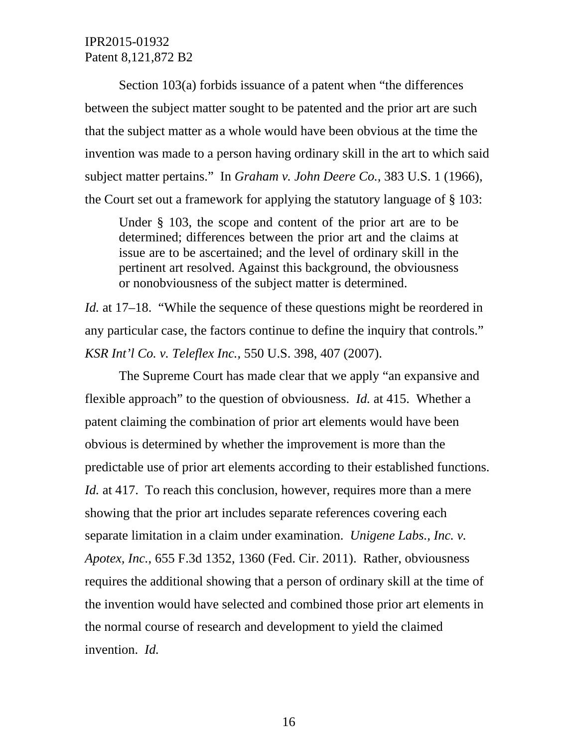Section 103(a) forbids issuance of a patent when "the differences between the subject matter sought to be patented and the prior art are such that the subject matter as a whole would have been obvious at the time the invention was made to a person having ordinary skill in the art to which said subject matter pertains." In *Graham v. John Deere Co.,* 383 U.S. 1 (1966), the Court set out a framework for applying the statutory language of § 103:

Under § 103, the scope and content of the prior art are to be determined; differences between the prior art and the claims at issue are to be ascertained; and the level of ordinary skill in the pertinent art resolved. Against this background, the obviousness or nonobviousness of the subject matter is determined.

*Id.* at 17–18. "While the sequence of these questions might be reordered in any particular case, the factors continue to define the inquiry that controls." *KSR Int'l Co. v. Teleflex Inc.,* 550 U.S. 398, 407 (2007).

The Supreme Court has made clear that we apply "an expansive and flexible approach" to the question of obviousness. *Id.* at 415. Whether a patent claiming the combination of prior art elements would have been obvious is determined by whether the improvement is more than the predictable use of prior art elements according to their established functions. *Id.* at 417. To reach this conclusion, however, requires more than a mere showing that the prior art includes separate references covering each separate limitation in a claim under examination. *Unigene Labs., Inc. v. Apotex, Inc.*, 655 F.3d 1352, 1360 (Fed. Cir. 2011). Rather, obviousness requires the additional showing that a person of ordinary skill at the time of the invention would have selected and combined those prior art elements in the normal course of research and development to yield the claimed invention. *Id.*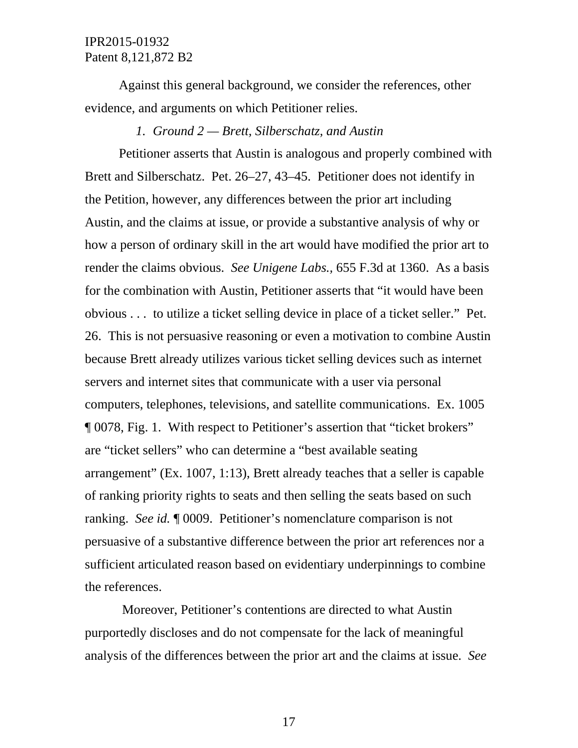Against this general background, we consider the references, other evidence, and arguments on which Petitioner relies.

## *1. Ground 2 — Brett, Silberschatz, and Austin*

Petitioner asserts that Austin is analogous and properly combined with Brett and Silberschatz. Pet. 26–27, 43–45. Petitioner does not identify in the Petition, however, any differences between the prior art including Austin, and the claims at issue, or provide a substantive analysis of why or how a person of ordinary skill in the art would have modified the prior art to render the claims obvious. *See Unigene Labs.,* 655 F.3d at 1360. As a basis for the combination with Austin, Petitioner asserts that "it would have been obvious . . . to utilize a ticket selling device in place of a ticket seller." Pet. 26. This is not persuasive reasoning or even a motivation to combine Austin because Brett already utilizes various ticket selling devices such as internet servers and internet sites that communicate with a user via personal computers, telephones, televisions, and satellite communications. Ex. 1005 ¶ 0078, Fig. 1. With respect to Petitioner's assertion that "ticket brokers" are "ticket sellers" who can determine a "best available seating arrangement" (Ex. 1007, 1:13), Brett already teaches that a seller is capable of ranking priority rights to seats and then selling the seats based on such ranking. *See id.* ¶ 0009. Petitioner's nomenclature comparison is not persuasive of a substantive difference between the prior art references nor a sufficient articulated reason based on evidentiary underpinnings to combine the references.

Moreover, Petitioner's contentions are directed to what Austin purportedly discloses and do not compensate for the lack of meaningful analysis of the differences between the prior art and the claims at issue. *See*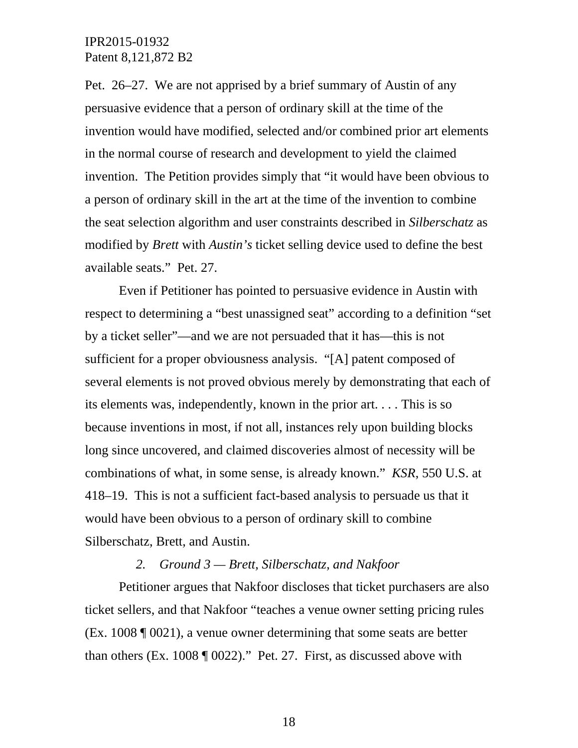Pet. 26–27. We are not apprised by a brief summary of Austin of any persuasive evidence that a person of ordinary skill at the time of the invention would have modified, selected and/or combined prior art elements in the normal course of research and development to yield the claimed invention. The Petition provides simply that "it would have been obvious to a person of ordinary skill in the art at the time of the invention to combine the seat selection algorithm and user constraints described in *Silberschatz* as modified by *Brett* with *Austin's* ticket selling device used to define the best available seats." Pet. 27.

Even if Petitioner has pointed to persuasive evidence in Austin with respect to determining a "best unassigned seat" according to a definition "set by a ticket seller"—and we are not persuaded that it has—this is not sufficient for a proper obviousness analysis. "[A] patent composed of several elements is not proved obvious merely by demonstrating that each of its elements was, independently, known in the prior art. . . . This is so because inventions in most, if not all, instances rely upon building blocks long since uncovered, and claimed discoveries almost of necessity will be combinations of what, in some sense, is already known." *KSR*, 550 U.S. at 418–19. This is not a sufficient fact-based analysis to persuade us that it would have been obvious to a person of ordinary skill to combine Silberschatz, Brett, and Austin.

# *2. Ground 3 — Brett, Silberschatz, and Nakfoor*

Petitioner argues that Nakfoor discloses that ticket purchasers are also ticket sellers, and that Nakfoor "teaches a venue owner setting pricing rules (Ex. 1008 ¶ 0021), a venue owner determining that some seats are better than others (Ex. 1008 ¶ 0022)." Pet. 27. First, as discussed above with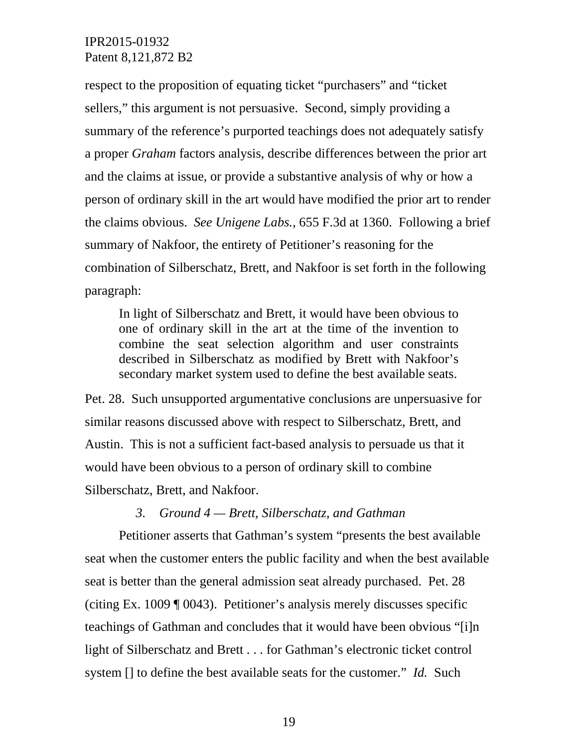respect to the proposition of equating ticket "purchasers" and "ticket sellers," this argument is not persuasive. Second, simply providing a summary of the reference's purported teachings does not adequately satisfy a proper *Graham* factors analysis, describe differences between the prior art and the claims at issue, or provide a substantive analysis of why or how a person of ordinary skill in the art would have modified the prior art to render the claims obvious. *See Unigene Labs.,* 655 F.3d at 1360. Following a brief summary of Nakfoor, the entirety of Petitioner's reasoning for the combination of Silberschatz, Brett, and Nakfoor is set forth in the following paragraph:

In light of Silberschatz and Brett, it would have been obvious to one of ordinary skill in the art at the time of the invention to combine the seat selection algorithm and user constraints described in Silberschatz as modified by Brett with Nakfoor's secondary market system used to define the best available seats.

Pet. 28. Such unsupported argumentative conclusions are unpersuasive for similar reasons discussed above with respect to Silberschatz, Brett, and Austin. This is not a sufficient fact-based analysis to persuade us that it would have been obvious to a person of ordinary skill to combine Silberschatz, Brett, and Nakfoor.

#### *3. Ground 4 — Brett, Silberschatz, and Gathman*

Petitioner asserts that Gathman's system "presents the best available seat when the customer enters the public facility and when the best available seat is better than the general admission seat already purchased. Pet. 28 (citing Ex. 1009 ¶ 0043). Petitioner's analysis merely discusses specific teachings of Gathman and concludes that it would have been obvious "[i]n light of Silberschatz and Brett . . . for Gathman's electronic ticket control system [] to define the best available seats for the customer." *Id.* Such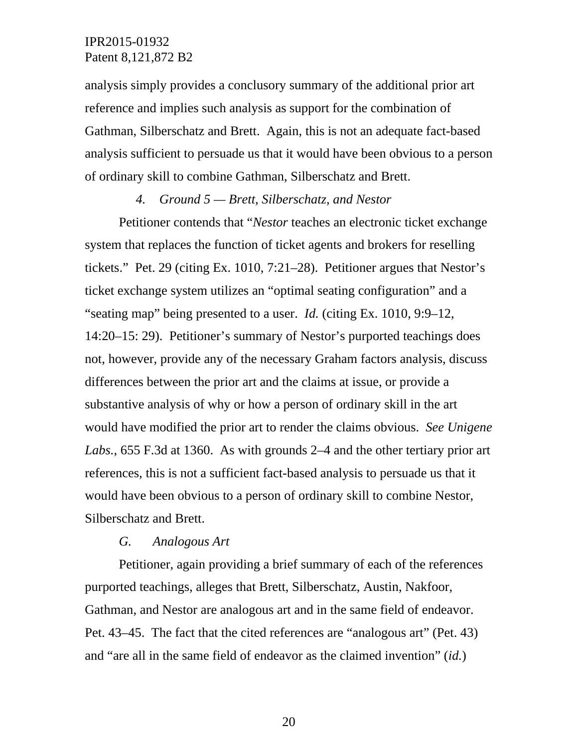analysis simply provides a conclusory summary of the additional prior art reference and implies such analysis as support for the combination of Gathman, Silberschatz and Brett. Again, this is not an adequate fact-based analysis sufficient to persuade us that it would have been obvious to a person of ordinary skill to combine Gathman, Silberschatz and Brett.

# *4. Ground 5 — Brett, Silberschatz, and Nestor*

Petitioner contends that "*Nestor* teaches an electronic ticket exchange system that replaces the function of ticket agents and brokers for reselling tickets." Pet. 29 (citing Ex. 1010, 7:21–28). Petitioner argues that Nestor's ticket exchange system utilizes an "optimal seating configuration" and a "seating map" being presented to a user. *Id.* (citing Ex. 1010, 9:9–12, 14:20–15: 29). Petitioner's summary of Nestor's purported teachings does not, however, provide any of the necessary Graham factors analysis, discuss differences between the prior art and the claims at issue, or provide a substantive analysis of why or how a person of ordinary skill in the art would have modified the prior art to render the claims obvious. *See Unigene Labs.*, 655 F.3d at 1360. As with grounds 2–4 and the other tertiary prior art references, this is not a sufficient fact-based analysis to persuade us that it would have been obvious to a person of ordinary skill to combine Nestor, Silberschatz and Brett.

#### *G. Analogous Art*

Petitioner, again providing a brief summary of each of the references purported teachings, alleges that Brett, Silberschatz, Austin, Nakfoor, Gathman, and Nestor are analogous art and in the same field of endeavor. Pet. 43–45. The fact that the cited references are "analogous art" (Pet. 43) and "are all in the same field of endeavor as the claimed invention" (*id.*)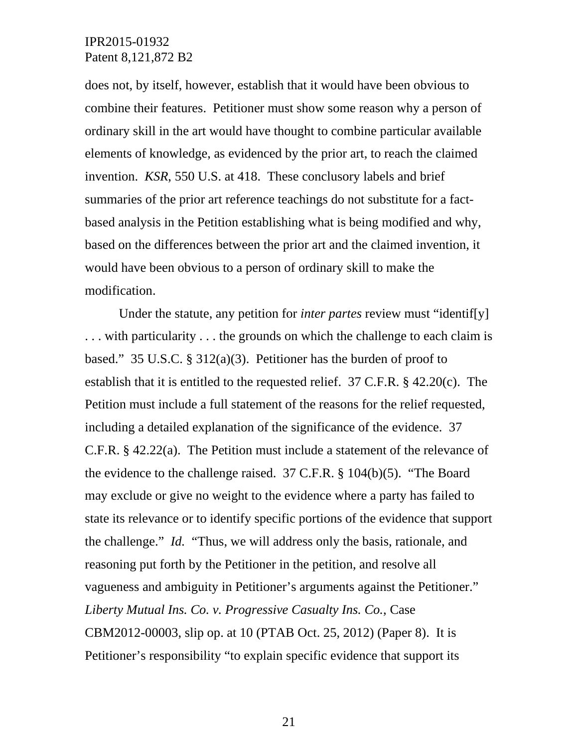does not, by itself, however, establish that it would have been obvious to combine their features. Petitioner must show some reason why a person of ordinary skill in the art would have thought to combine particular available elements of knowledge, as evidenced by the prior art, to reach the claimed invention. *KSR*, 550 U.S. at 418. These conclusory labels and brief summaries of the prior art reference teachings do not substitute for a factbased analysis in the Petition establishing what is being modified and why, based on the differences between the prior art and the claimed invention, it would have been obvious to a person of ordinary skill to make the modification.

Under the statute, any petition for *inter partes* review must "identif[y] . . . with particularity . . . the grounds on which the challenge to each claim is based." 35 U.S.C. § 312(a)(3). Petitioner has the burden of proof to establish that it is entitled to the requested relief. 37 C.F.R. § 42.20(c). The Petition must include a full statement of the reasons for the relief requested, including a detailed explanation of the significance of the evidence. 37 C.F.R. § 42.22(a). The Petition must include a statement of the relevance of the evidence to the challenge raised. 37 C.F.R. § 104(b)(5). "The Board may exclude or give no weight to the evidence where a party has failed to state its relevance or to identify specific portions of the evidence that support the challenge." *Id.* "Thus, we will address only the basis, rationale, and reasoning put forth by the Petitioner in the petition, and resolve all vagueness and ambiguity in Petitioner's arguments against the Petitioner." *Liberty Mutual Ins. Co. v. Progressive Casualty Ins. Co.*, Case CBM2012-00003, slip op. at 10 (PTAB Oct. 25, 2012) (Paper 8). It is Petitioner's responsibility "to explain specific evidence that support its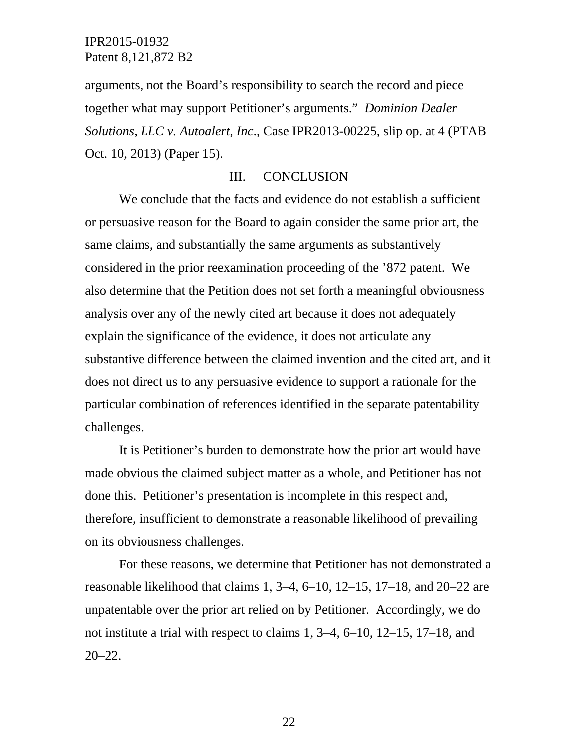arguments, not the Board's responsibility to search the record and piece together what may support Petitioner's arguments." *Dominion Dealer Solutions, LLC v. Autoalert, Inc*., Case IPR2013-00225, slip op. at 4 (PTAB Oct. 10, 2013) (Paper 15).

## III. CONCLUSION

We conclude that the facts and evidence do not establish a sufficient or persuasive reason for the Board to again consider the same prior art, the same claims, and substantially the same arguments as substantively considered in the prior reexamination proceeding of the '872 patent. We also determine that the Petition does not set forth a meaningful obviousness analysis over any of the newly cited art because it does not adequately explain the significance of the evidence, it does not articulate any substantive difference between the claimed invention and the cited art, and it does not direct us to any persuasive evidence to support a rationale for the particular combination of references identified in the separate patentability challenges.

It is Petitioner's burden to demonstrate how the prior art would have made obvious the claimed subject matter as a whole, and Petitioner has not done this. Petitioner's presentation is incomplete in this respect and, therefore, insufficient to demonstrate a reasonable likelihood of prevailing on its obviousness challenges.

For these reasons, we determine that Petitioner has not demonstrated a reasonable likelihood that claims 1, 3–4, 6–10, 12–15, 17–18, and 20–22 are unpatentable over the prior art relied on by Petitioner. Accordingly, we do not institute a trial with respect to claims 1, 3–4, 6–10, 12–15, 17–18, and 20–22.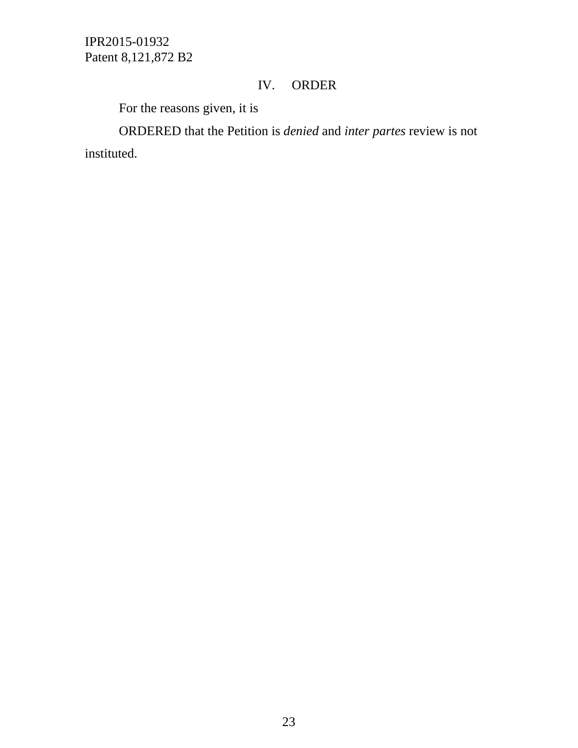# IV. ORDER

For the reasons given, it is

ORDERED that the Petition is *denied* and *inter partes* review is not instituted.